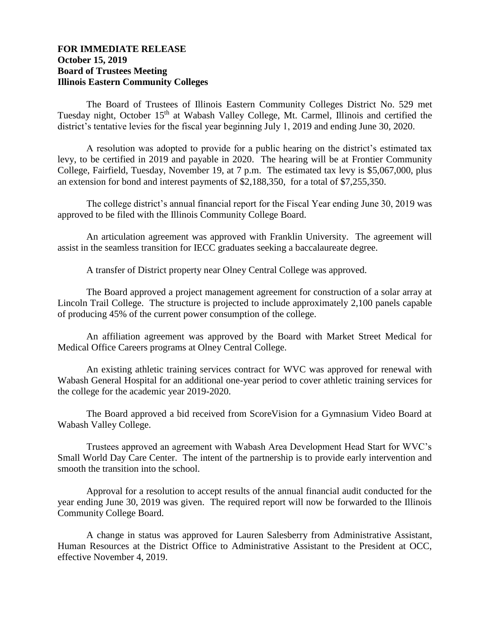## **FOR IMMEDIATE RELEASE October 15, 2019 Board of Trustees Meeting Illinois Eastern Community Colleges**

The Board of Trustees of Illinois Eastern Community Colleges District No. 529 met Tuesday night, October 15<sup>th</sup> at Wabash Valley College, Mt. Carmel, Illinois and certified the district's tentative levies for the fiscal year beginning July 1, 2019 and ending June 30, 2020.

A resolution was adopted to provide for a public hearing on the district's estimated tax levy, to be certified in 2019 and payable in 2020. The hearing will be at Frontier Community College, Fairfield, Tuesday, November 19, at 7 p.m. The estimated tax levy is \$5,067,000, plus an extension for bond and interest payments of \$2,188,350, for a total of \$7,255,350.

The college district's annual financial report for the Fiscal Year ending June 30, 2019 was approved to be filed with the Illinois Community College Board.

An articulation agreement was approved with Franklin University. The agreement will assist in the seamless transition for IECC graduates seeking a baccalaureate degree.

A transfer of District property near Olney Central College was approved.

The Board approved a project management agreement for construction of a solar array at Lincoln Trail College. The structure is projected to include approximately 2,100 panels capable of producing 45% of the current power consumption of the college.

An affiliation agreement was approved by the Board with Market Street Medical for Medical Office Careers programs at Olney Central College.

An existing athletic training services contract for WVC was approved for renewal with Wabash General Hospital for an additional one-year period to cover athletic training services for the college for the academic year 2019-2020.

The Board approved a bid received from ScoreVision for a Gymnasium Video Board at Wabash Valley College.

Trustees approved an agreement with Wabash Area Development Head Start for WVC's Small World Day Care Center. The intent of the partnership is to provide early intervention and smooth the transition into the school.

Approval for a resolution to accept results of the annual financial audit conducted for the year ending June 30, 2019 was given. The required report will now be forwarded to the Illinois Community College Board.

A change in status was approved for Lauren Salesberry from Administrative Assistant, Human Resources at the District Office to Administrative Assistant to the President at OCC, effective November 4, 2019.